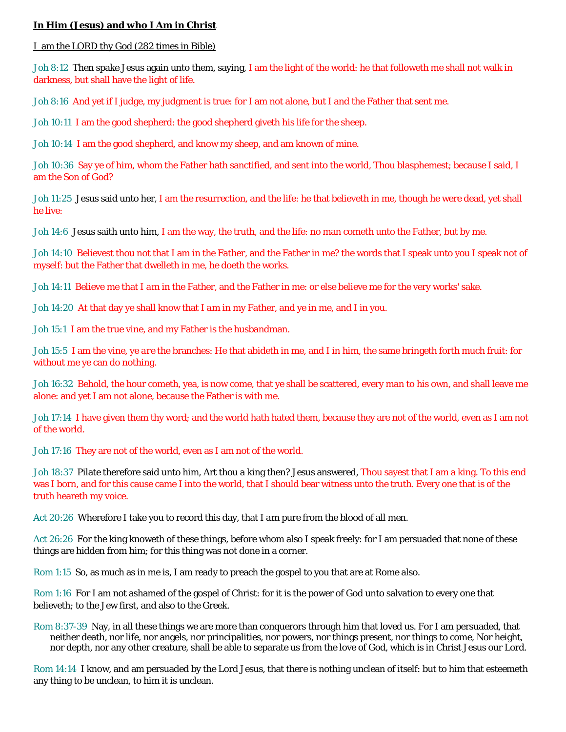### **In Him (Jesus) and who I Am in Christ**

I am the LORD thy God (282 times in Bible)

Joh 8:12 Then spake Jesus again unto them, saying, I am the light of the world: he that followeth me shall not walk in darkness, but shall have the light of life.

Joh 8:16 And yet if I judge, my judgment is true: for I am not alone, but I and the Father that sent me.

Joh 10:11 I am the good shepherd: the good shepherd giveth his life for the sheep.

Joh 10:14 I am the good shepherd, and know my *sheep,* and am known of mine.

Joh 10:36 Say ye of him, whom the Father hath sanctified, and sent into the world, Thou blasphemest; because I said, I am the Son of God?

Joh 11:25 Jesus said unto her, I am the resurrection, and the life: he that believeth in me, though he were dead, yet shall he live:

Joh 14:6 Jesus saith unto him, I am the way, the truth, and the life: no man cometh unto the Father, but by me.

Joh 14:10 Believest thou not that I am in the Father, and the Father in me? the words that I speak unto you I speak not of myself: but the Father that dwelleth in me, he doeth the works.

Joh 14:11 Believe me that I *am* in the Father, and the Father in me: or else believe me for the very works' sake.

Joh 14:20 At that day ye shall know that I *am* in my Father, and ye in me, and I in you.

Joh 15:1 I am the true vine, and my Father is the husbandman.

Joh 15:5 I am the vine, ye *are* the branches: He that abideth in me, and I in him, the same bringeth forth much fruit: for without me ye can do nothing.

Joh 16:32 Behold, the hour cometh, yea, is now come, that ye shall be scattered, every man to his own, and shall leave me alone: and yet I am not alone, because the Father is with me.

Joh 17:14 I have given them thy word; and the world hath hated them, because they are not of the world, even as I am not of the world.

Joh 17:16 They are not of the world, even as I am not of the world.

Joh 18:37 Pilate therefore said unto him, Art thou a king then? Jesus answered, Thou sayest that I am a king. To this end was I born, and for this cause came I into the world, that I should bear witness unto the truth. Every one that is of the truth heareth my voice.

Act 20:26 Wherefore I take you to record this day, that I *am* pure from the blood of all *men.*

Act 26:26 For the king knoweth of these things, before whom also I speak freely: for I am persuaded that none of these things are hidden from him; for this thing was not done in a corner.

Rom 1:15 So, as much as in me is, I am ready to preach the gospel to you that are at Rome also.

Rom 1:16 For I am not ashamed of the gospel of Christ: for it is the power of God unto salvation to every one that believeth; to the Jew first, and also to the Greek.

Rom 8:37-39 Nay, in all these things we are more than conquerors through him that loved us. For I am persuaded, that neither death, nor life, nor angels, nor principalities, nor powers, nor things present, nor things to come, Nor height, nor depth, nor any other creature, shall be able to separate us from the love of God, which is in Christ Jesus our Lord.

Rom 14:14 I know, and am persuaded by the Lord Jesus, that *there is* nothing unclean of itself: but to him that esteemeth any thing to be unclean, to him *it is* unclean.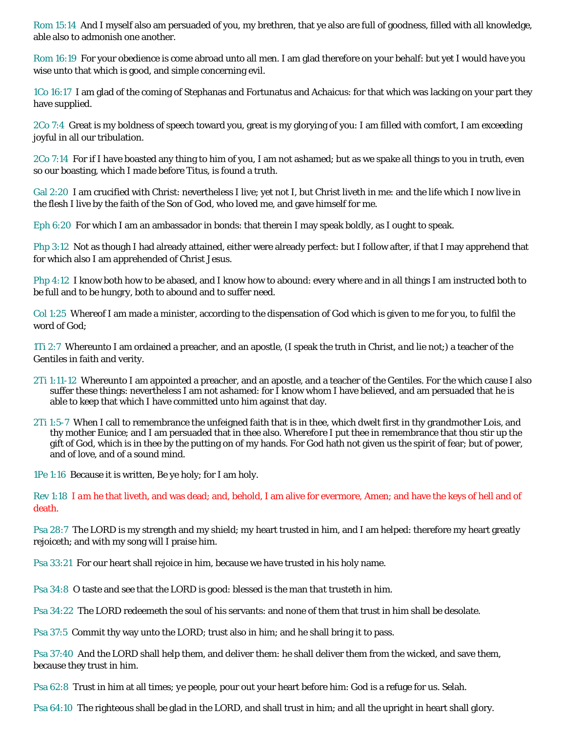Rom 15:14 And I myself also am persuaded of you, my brethren, that ye also are full of goodness, filled with all knowledge, able also to admonish one another.

Rom 16:19 For your obedience is come abroad unto all *men.* I am glad therefore on your behalf: but yet I would have you wise unto that which is good, and simple concerning evil.

1Co 16:17 I am glad of the coming of Stephanas and Fortunatus and Achaicus: for that which was lacking on your part they have supplied.

2Co 7:4 Great *is* my boldness of speech toward you, great *is* my glorying of you: I am filled with comfort, I am exceeding joyful in all our tribulation.

2Co 7:14 For if I have boasted any thing to him of you, I am not ashamed; but as we spake all things to you in truth, even so our boasting, which *I made* before Titus, is found a truth.

Gal 2:20 I am crucified with Christ: nevertheless I live; yet not I, but Christ liveth in me: and the life which I now live in the flesh I live by the faith of the Son of God, who loved me, and gave himself for me.

Eph 6:20 For which I am an ambassador in bonds: that therein I may speak boldly, as I ought to speak.

Php 3:12 Not as though I had already attained, either were already perfect: but I follow after, if that I may apprehend that for which also I am apprehended of Christ Jesus.

Php 4:12 I know both how to be abased, and I know how to abound: every where and in all things I am instructed both to be full and to be hungry, both to abound and to suffer need.

Col 1:25 Whereof I am made a minister, according to the dispensation of God which is given to me for you, to fulfil the word of God;

1Ti 2:7 Whereunto I am ordained a preacher, and an apostle, (I speak the truth in Christ, *and* lie not;) a teacher of the Gentiles in faith and verity.

- 2Ti 1:11-12 Whereunto I am appointed a preacher, and an apostle, and a teacher of the Gentiles. For the which cause I also suffer these things: nevertheless I am not ashamed: for I know whom I have believed, and am persuaded that he is able to keep that which I have committed unto him against that day.
- 2Ti 1:5-7 When I call to remembrance the unfeigned faith that is in thee, which dwelt first in thy grandmother Lois, and thy mother Eunice; and I am persuaded that in thee also. Wherefore I put thee in remembrance that thou stir up the gift of God, which is in thee by the putting on of my hands. For God hath not given us the spirit of fear; but of power, and of love, and of a sound mind.

1Pe 1:16 Because it is written, Be ye holy; for I am holy.

Rev 1:18 *I am* he that liveth, and was dead; and, behold, I am alive for evermore, Amen; and have the keys of hell and of death.

Psa 28:7 The LORD *is* my strength and my shield; my heart trusted in him, and I am helped: therefore my heart greatly rejoiceth; and with my song will I praise him.

Psa 33:21 For our heart shall rejoice in him, because we have trusted in his holy name.

Psa 34:8 O taste and see that the LORD *is* good: blessed *is* the man *that* trusteth in him.

Psa 34:22 The LORD redeemeth the soul of his servants: and none of them that trust in him shall be desolate.

Psa 37:5 Commit thy way unto the LORD; trust also in him; and he shall bring *it* to pass.

Psa 37:40 And the LORD shall help them, and deliver them: he shall deliver them from the wicked, and save them, because they trust in him.

Psa 62:8 Trust in him at all times; *ye* people, pour out your heart before him: God *is* a refuge for us. Selah.

Psa 64:10 The righteous shall be glad in the LORD, and shall trust in him; and all the upright in heart shall glory.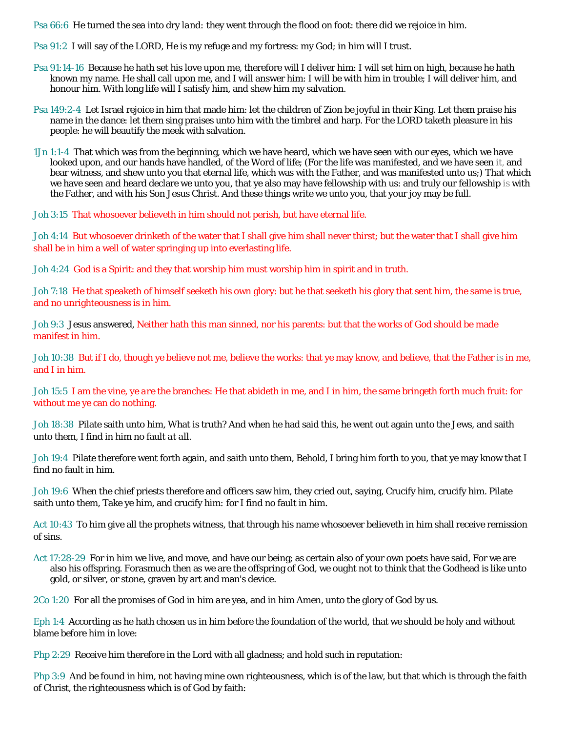Psa 66:6 He turned the sea into dry *land:* they went through the flood on foot: there did we rejoice in him.

Psa 91:2 I will say of the LORD, *He is* my refuge and my fortress: my God; in him will I trust.

- Psa 91:14-16 Because he hath set his love upon me, therefore will I deliver him: I will set him on high, because he hath known my name. He shall call upon me, and I will answer him: I *will be* with him in trouble; I will deliver him, and honour him. With long life will I satisfy him, and shew him my salvation.
- Psa 149:2-4 Let Israel rejoice in him that made him: let the children of Zion be joyful in their King. Let them praise his name in the dance: let them sing praises unto him with the timbrel and harp. For the LORD taketh pleasure in his people: he will beautify the meek with salvation.
- 1Jn 1:1-4 That which was from the beginning, which we have heard, which we have seen with our eyes, which we have looked upon, and our hands have handled, of the Word of life; (For the life was manifested, and we have seen *it*, and bear witness, and shew unto you that eternal life, which was with the Father, and was manifested unto us;) That which we have seen and heard declare we unto you, that ye also may have fellowship with us: and truly our fellowship *is* with the Father, and with his Son Jesus Christ. And these things write we unto you, that your joy may be full.

Joh 3:15 That whosoever believeth in him should not perish, but have eternal life.

Joh 4:14 But whosoever drinketh of the water that I shall give him shall never thirst; but the water that I shall give him shall be in him a well of water springing up into everlasting life.

Joh 4:24 God *is* a Spirit: and they that worship him must worship *him* in spirit and in truth.

Joh 7:18 He that speaketh of himself seeketh his own glory: but he that seeketh his glory that sent him, the same is true, and no unrighteousness is in him.

Joh 9:3 Jesus answered, Neither hath this man sinned, nor his parents: but that the works of God should be made manifest in him.

Joh 10:38 But if I do, though ye believe not me, believe the works: that ye may know, and believe, that the Father *is* in me, and I in him.

Joh 15:5 I am the vine, ye *are* the branches: He that abideth in me, and I in him, the same bringeth forth much fruit: for without me ye can do nothing.

Joh 18:38 Pilate saith unto him, What is truth? And when he had said this, he went out again unto the Jews, and saith unto them, I find in him no fault *at all.*

Joh 19:4 Pilate therefore went forth again, and saith unto them, Behold, I bring him forth to you, that ye may know that I find no fault in him.

Joh 19:6 When the chief priests therefore and officers saw him, they cried out, saying, Crucify *him,* crucify *him.* Pilate saith unto them, Take ye him, and crucify *him:* for I find no fault in him.

Act 10:43 To him give all the prophets witness, that through his name whosoever believeth in him shall receive remission of sins.

Act 17:28-29 For in him we live, and move, and have our being; as certain also of your own poets have said, For we are also his offspring. Forasmuch then as we are the offspring of God, we ought not to think that the Godhead is like unto gold, or silver, or stone, graven by art and man's device.

2Co 1:20 For all the promises of God in him *are* yea, and in him Amen, unto the glory of God by us.

Eph 1:4 According as he hath chosen us in him before the foundation of the world, that we should be holy and without blame before him in love:

Php 2:29 Receive him therefore in the Lord with all gladness; and hold such in reputation:

Php 3:9 And be found in him, not having mine own righteousness, which is of the law, but that which is through the faith of Christ, the righteousness which is of God by faith: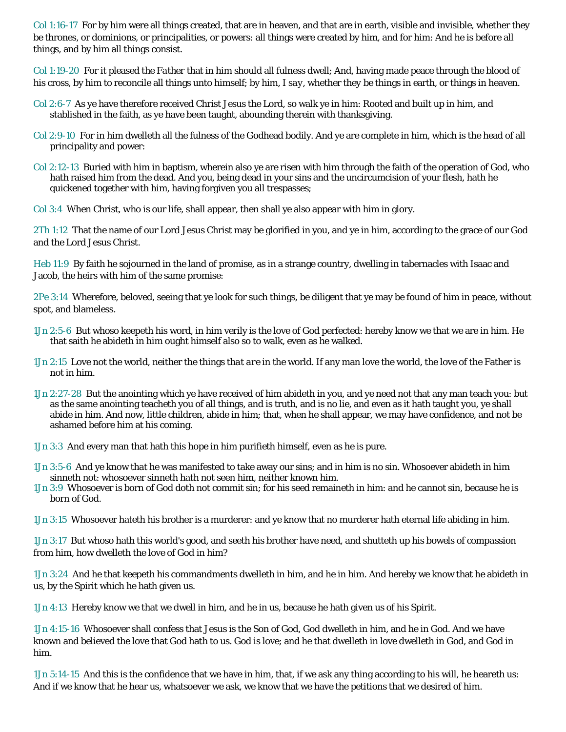Col 1:16-17 For by him were all things created, that are in heaven, and that are in earth, visible and invisible, whether *they be* thrones, or dominions, or principalities, or powers: all things were created by him, and for him: And he is before all things, and by him all things consist.

Col 1:19-20 For it pleased *the Father* that in him should all fulness dwell; And, having made peace through the blood of his cross, by him to reconcile all things unto himself; by him, *I say,* whether *they be* things in earth, or things in heaven.

- Col 2:6-7 As ye have therefore received Christ Jesus the Lord, *so* walk ye in him: Rooted and built up in him, and stablished in the faith, as ye have been taught, abounding therein with thanksgiving.
- Col 2:9-10 For in him dwelleth all the fulness of the Godhead bodily. And ye are complete in him, which is the head of all principality and power:
- Col 2:12-13 Buried with him in baptism, wherein also ye are risen with *him* through the faith of the operation of God, who hath raised him from the dead. And you, being dead in your sins and the uncircumcision of your flesh, hath he quickened together with him, having forgiven you all trespasses;
- Col 3:4 When Christ, *who is* our life, shall appear, then shall ye also appear with him in glory.

2Th 1:12 That the name of our Lord Jesus Christ may be glorified in you, and ye in him, according to the grace of our God and the Lord Jesus Christ.

Heb 11:9 By faith he sojourned in the land of promise, as *in* a strange country, dwelling in tabernacles with Isaac and Jacob, the heirs with him of the same promise:

2Pe 3:14 Wherefore, beloved, seeing that ye look for such things, be diligent that ye may be found of him in peace, without spot, and blameless.

- 1Jn 2:5-6 But whoso keepeth his word, in him verily is the love of God perfected: hereby know we that we are in him. He that saith he abideth in him ought himself also so to walk, even as he walked.
- 1Jn 2:15 Love not the world, neither the things *that are* in the world. If any man love the world, the love of the Father is not in him.
- 1Jn 2:27-28 But the anointing which ye have received of him abideth in you, and ye need not that any man teach you: but as the same anointing teacheth you of all things, and is truth, and is no lie, and even as it hath taught you, ye shall abide in him. And now, little children, abide in him; that, when he shall appear, we may have confidence, and not be ashamed before him at his coming.
- 1Jn 3:3 And every man that hath this hope in him purifieth himself, even as he is pure.
- 1Jn 3:5-6 And ye know that he was manifested to take away our sins; and in him is no sin. Whosoever abideth in him sinneth not: whosoever sinneth hath not seen him, neither known him.
- 1Jn 3:9 Whosoever is born of God doth not commit sin; for his seed remaineth in him: and he cannot sin, because he is born of God.

1Jn 3:15 Whosoever hateth his brother is a murderer: and ye know that no murderer hath eternal life abiding in him.

1Jn 3:17 But whoso hath this world's good, and seeth his brother have need, and shutteth up his bowels *of compassion* from him, how dwelleth the love of God in him?

1Jn 3:24 And he that keepeth his commandments dwelleth in him, and he in him. And hereby we know that he abideth in us, by the Spirit which he hath given us.

1Jn 4:13 Hereby know we that we dwell in him, and he in us, because he hath given us of his Spirit.

1Jn 4:15-16 Whosoever shall confess that Jesus is the Son of God, God dwelleth in him, and he in God. And we have known and believed the love that God hath to us. God is love; and he that dwelleth in love dwelleth in God, and God in him.

1Jn 5:14-15 And this is the confidence that we have in him, that, if we ask any thing according to his will, he heareth us: And if we know that he hear us, whatsoever we ask, we know that we have the petitions that we desired of him.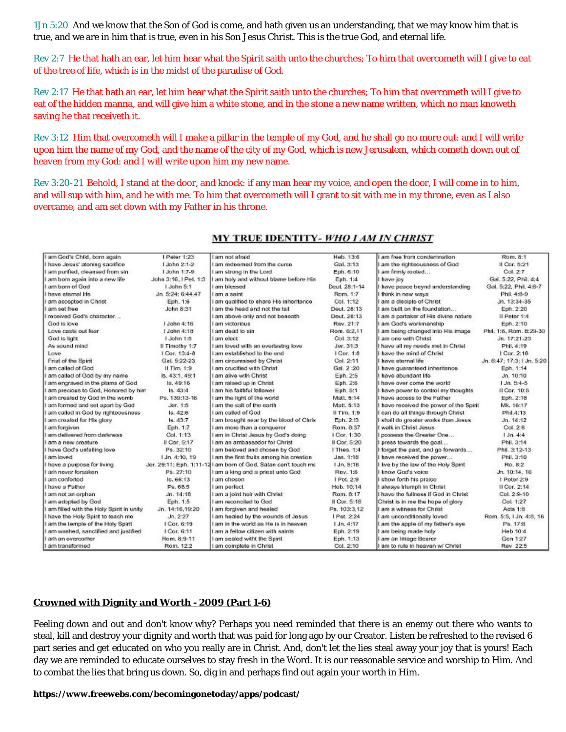1Jn 5:20 And we know that the Son of God is come, and hath given us an understanding, that we may know him that is true, and we are in him that is true, *even* in his Son Jesus Christ. This is the true God, and eternal life.

Rev 2:7 He that hath an ear, let him hear what the Spirit saith unto the churches; To him that overcometh will I give to eat of the tree of life, which is in the midst of the paradise of God.

Rev 2:17 He that hath an ear, let him hear what the Spirit saith unto the churches; To him that overcometh will I give to eat of the hidden manna, and will give him a white stone, and in the stone a new name written, which no man knoweth saving he that receiveth *it.*

Rev 3:12 Him that overcometh will I make a pillar in the temple of my God, and he shall go no more out: and I will write upon him the name of my God, and the name of the city of my God, *which is* new Jerusalem, which cometh down out of heaven from my God: and *I will write upon him* my new name.

Rev 3:20-21 Behold, I stand at the door, and knock: if any man hear my voice, and open the door, I will come in to him, and will sup with him, and he with me. To him that overcometh will I grant to sit with me in my throne, even as I also overcame, and am set down with my Father in his throne.

| I am God's Child, born again            | I Peter 1:23               | biethe ton me I                                                 | Heb. 13:6        | am free from condemnation             | Rom. 8:1                  |
|-----------------------------------------|----------------------------|-----------------------------------------------------------------|------------------|---------------------------------------|---------------------------|
| have Jesus' atoning sacrifice           | 1 John 2:1-2               | am redeemed from the curse.                                     | Gal. 3:13        | am the righteousness of God           | II Cor. 5:21              |
| am purified, cleansed from sin          | 1.John 1:7-9               | am strong in the Lord                                           | Eph. 6:10        | am firmly rooted                      | Col. 27                   |
| am born again into a new life           | John 3:16, I Pet, 1:3      | I am holy and without blame before Hin                          | Eph. 1:4         | I have joy                            | Gal. 5:22, Phil. 4:4      |
| am born of God                          | I John 5:1                 | am blessed                                                      | Dout. 28:1-14    | have peace beynd understanding        | Gal. 5:22, Phil. 4:6-7    |
| have eternal life                       | Jn. 5:24: 6:44.47          | I am a saint                                                    | Rom. 1:7         | I think in new ways                   | Phil. 4:8-9               |
| am accopted in Christ                   | Eph. 1:6                   | I am qualified to share His inheritance                         | Col. 1:12        | am a disciple of Christ               | Jn. 13:34-35              |
| am sot frop                             | John 8:31                  | I am the head and not the tail                                  | Dout, 28:13      | am built on the foundation            | Eph. 2:20                 |
| received God's character                |                            | I am above only and not beneath                                 | Deut. 28:13      | I am a partaker of His divine nature  | II Peter 1:4              |
| God is love                             | 1.John 4:16                | am victorious                                                   | Rev. 21:7        | I am God's workmanship                | Eph. 2:10                 |
| Love casts out fear.                    | LJohn 4:18                 | I am dead to sin                                                | Rom. 6:2.11      | am being changed into His image       | Phil. 1:6, Ram. 8:29-30   |
| God is light                            | 1 John 1:5                 | I am elect                                                      | Col. 3:12        | am one with Christ                    | $Jn. 17:21-23$            |
| As sound mind                           | Il Timothy 1:7             | I am loved with an everlasting love                             | Jer. 31:3        | I have all my needs met in Christ     | Phil. 4:19                |
| Love                                    | I Cor. 13:4-8              | I am established to the end                                     | I Cor. 1:8       | have the mind of Christ               | Cor. 2:16                 |
| Friut of the Spirit                     | Gal. 5:22-23               | I am circumsised by Christ                                      | Col. 2:11        | have eternal life                     | Jn. 6:47: 17:3:1 Jn. 5:20 |
| am called of God                        | Il Tim. 1:9                | I am crucified with Christ                                      | Gal. 2:20        | have guaranteed inheritance           | Eph. 1:14                 |
| am called of God by my name             | ls. 43:1.49:1              | I am alive with Christ                                          | Eph. 2:5         | have abundant life                    | Jn. 10:10                 |
| am engraved in the plams of God         | ls.49:16                   | I am raised up in Christ                                        | Eph. 2:8         | I have over come the world            | $1.3n.5:4-5$              |
| am precious to God, Honored by him      | Is. 43:4                   | I am his faithful follower                                      | Eph. 5:1         | I have power to control my thoughts   | II Cor. 10:5              |
| I am created by God in the womb         | Ps. 139:13-16              | I am the light of the world                                     | Mart. 5:14       | have access to the Father             | Eph. 2:18                 |
| am formed and set apart by God          | Jor. 1:5                   | am the salt of the earth                                        | Matt. 5:13       | have received the power of the Spirit | Mk. 16:17                 |
| am called in God by richteousness       | ls, 42:6                   | I am called of God                                              | Il Tim. 1:9      | I can do all things through Christ    | Phil.4:13                 |
| am created for His glory                | Is, 43:7                   | I am brought near by the blood of Chris                         | Eph. 2:13        | I shall do greater works than Jesus   | Jn. 14:12                 |
| am forgiven                             | Eph. 1:7                   | am more than a conqueror                                        | Rom. 8:37        | walk in Christ Jesus                  | Col. 2.6                  |
| am delivered from darkness              | Col. 1:13                  | I am in Christ Jesus by God's doing                             | I Cor. 1:30      | possess the Greater One               | $1 \, \text{Jn. } 4:4$    |
| am a new creature                       | Il Cor. 5:17               | I am an ambassador for Christ                                   | Il Cor. 5:20     | press towards the goal                | Phil. 3:14                |
| have God's unfailing love               | Ps. 32:10                  | I am beloved and chosen by God                                  | Thes. 1:4        | forget the past, and go forwards      | Phil. 3:12-13             |
| am loved                                | $1 \, \text{Jn. } 4:10.19$ | I am the first fruits among his creation                        | Jas. 1:18        | have received the power               | Phil. 3:10                |
| have a purpose for living               |                            | Jer. 29:11; Eph. 1:11-12 I am born of God, Satan can't touch me | J.Jn. 5:18       | live by the law of the Holy Spirit    | Ro. 8:2                   |
| am never forsaken                       | Ps. 27:10                  | I am a king and a priest unto God.                              | Rev. 1:8         | know God's voice                      | Jn. 10:14, 16             |
| am conforted                            | Is. 66:13                  | I am chosen                                                     | Ppt. 2:9         | show forth his praise                 | I Peter 2:9               |
| have a Father                           | Ps. 68:5                   | I am perfect                                                    | Heb. 10:14       | I always triumph in Christ            | II Cor. 2:14              |
| am not an orphan                        | Jn. 14:18                  | I am a joint heir with Christ                                   | Rom. 8:17        | I have the fullness if God in Christ  | Col. 2:9-10               |
| am adopted by God                       | Eph. 1:5                   | am reconciled to God                                            | Il Cor. 5:18     | Christ is in me the hope of glory     | Col. 1:27                 |
| am filled with the Holy Spirit in unity | Jn. 14:16.19:20            | I am forgiven and healed                                        | Ps. 103:3.12     | I am a witness for Christ             | Acts 1:8                  |
| have the Holy Spirit to teach me        | $J_0$ , $2.27$             | I am healed by the wounds of Jesus                              | <b>IPet 2:24</b> | I am unconditionally loved            | Rom. 5:5, 1 Jn. 4:8, 16   |
| am the temple of the Holy Spirit        | I Cor. 6:19                | I am in the world as He is in heaven                            | $1$ Jn. $4:17$   | I am the apple of my father's eye     | Ps. 172                   |
| I am washed, sanctified and justified   | 1 Cor. 6:11                | I am a fellow citizen with saints                               | Eph. 2:19        | I am being made holy                  | Heb 10:4                  |
| I am an overcomer.                      | Rom. 8:9-11                | I am sealed with the Spirit                                     | Eph. 1:13        | I am an Image Bearer                  | Gen 1:27                  |
| I am transformed                        | Rom. 12:2                  | I am complete in Christ                                         | Col. 2:10        | am to rule in heaven w/ Christ        | Rev 22:5                  |

#### MY TRUE IDENTITY- WHO I AM IN CHRIST

#### **[Crowned with Dignity and Worth -](https://www.freewebs.com/becomingonetoday/apps/podcast/podcast/28831) 2009 (Part 1-6)**

Feeling down and out and don't know why? Perhaps you need reminded that there is an enemy out there who wants to steal, kill and destroy your dignity and worth that was paid for long ago by our Creator. Listen be refreshed to the revised 6 part series and get educated on who you really are in Christ. And, don't let the lies steal away your joy that is yours! Each day we are reminded to educate ourselves to stay fresh in the Word. It is our reasonable service and worship to Him. And to combat the lies that bring us down. So, dig in and perhaps find out again your worth in Him.

**https://www.freewebs.com/becomingonetoday/apps/podcast/**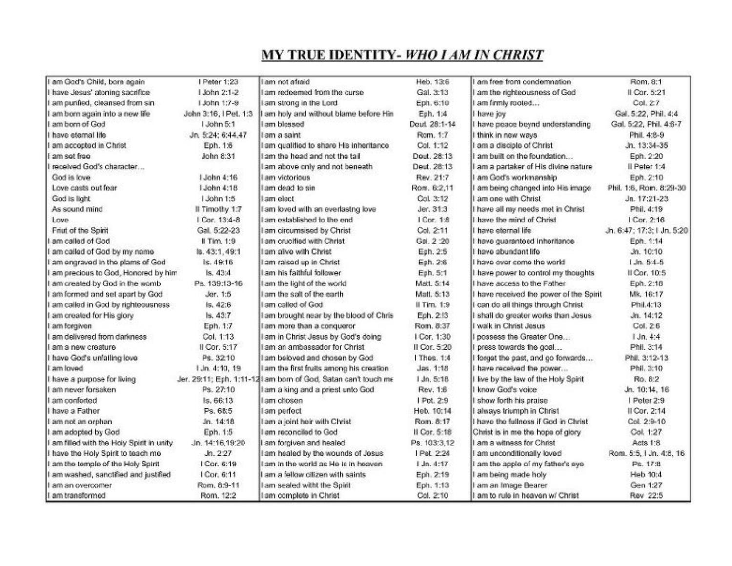# **MY TRUE IDENTITY- WHO I AM IN CHRIST**

| I am God's Child, born again              | I Peter 1:23          | bienhe ton me l                                               | Heb. 13:6      | I am free from condemnation           | Rom. 8:1                   |
|-------------------------------------------|-----------------------|---------------------------------------------------------------|----------------|---------------------------------------|----------------------------|
| I have Jesus' atoning sacrifice           | 1 John 2:1-2          | am redeemed from the curse.                                   | Gal. 3:13      | am the righteousness of God           | II Cor. 5:21               |
| I am purified, cleansed from sin          | 1.John 1:7-9          | I am strong in the Lord                                       | Eph. 6:10      | am firmly rooted                      | Col. 27                    |
| I am born again into a new life           | John 3:16, I Pet. 1:3 | I am holy and without blame before Hin                        | Eph. 1:4       | I have joy                            | Gal. 5:22, Phil. 4:4       |
| I am born of God                          | I John 5:1            | am blessed                                                    | Dout. 28:1-14  | have peace beynd understanding        | Gal. 5:22, Phil. 4:6-7     |
| have eternal life                         | Jn. 5:24: 6:44.47     | l am a saint                                                  | Rom, 1:7       | think in new ways                     | Phil. 4:8-9                |
| am accepted in Christ                     | Eph. 1:6              | I am qualified to share His inheritance                       | Col. 1:12      | am a disciple of Christ               | Jn. 13:34-35               |
| am sot froo                               | John 8:31             | am the head and not the tail                                  | Dout. 28:13    | am built on the foundation            | Eph. 2:20                  |
| received God's character                  |                       | am above only and not beneath                                 | Deut. 28:13    | I am a partaker of His divine nature  | Il Peter 1:4               |
| God is love                               | 1 John 4:16           | am victorious                                                 | Rev. 21:7      | I am God's workmanship                | Eph. 2:10                  |
| Love casts out fear                       | 1 John 4:18           | am dead to sin                                                | Rom. 6:2,11    | I am being changed into His image     | Phil. 1:6, Rom. 8:29-30    |
| God is light                              | 1 John 1:5            | am elect                                                      | Col. 3:12      | I am one with Christ                  | Jn. 17:21-23               |
| As sound mind                             | Il Timothy 1:7        | I am loved with an everlastng love                            | Jer. 31:3      | I have all my needs met in Christ     | Phil. 4:19                 |
| Love                                      | Cor. 13:4-8           | am established to the end                                     | I Cor. 1:8     | have the mind of Christ               | I Cor. 2:16                |
| Friut of the Spirit                       | Gal. 5:22-23          | I am circumsised by Christ                                    | Col. 2:11      | have eternal life                     | Jn. 6:47; 17:3; I Jn. 5:20 |
| am called of God                          | $II$ Tim. $1:9$       | I am crucified with Christ                                    | Gal. 2:20      | have quaranteed inheritance           | Eph. 1:14                  |
| am called of God by my name               | ls. 43:1, 49:1        | I am alive with Christ                                        | Eph. 2:5       | have abundant life                    | Jn. 10:10                  |
| am engraved in the plams of God           | ls. 49:16             | I am raised up in Christ                                      | Eph. 2:6       | I have over come the world            | 1 Jn. 5:4-5                |
| am precious to God, Honored by him        | Is. 43:4              | am his faithful follower                                      | Eph. 5:1       | I have power to control my thoughts   | Il Cor. 10:5               |
| I am created by God in the womb           | Ps. 139:13-16         | I am the light of the world                                   | Matt. 5:14     | I have access to the Father           | Eph. 2:18                  |
| am formed and set apart by God            | Jer. 1:5              | am the salt of the earth                                      | Matt. 5:13     | have received the power of the Spirit | Mk. 16:17                  |
| am called in God by righteousness         | ls, 42:6              | I am called of God                                            | II Tim. 1:9    | I can do all things through Christ    | Phil.4:13                  |
| am created for His glory                  | Is. 43:7              | I am brought near by the blood of Chris                       | Eph. 2:13      | I shall do greater works than Jesus   | Jn. 14:12                  |
| I am forgiven                             | Eph. 1:7              | am more than a conqueror                                      | Rom. 8:37      | I walk in Christ Jesus                | Col. 26                    |
| am delivered from darkness                | Col. 1:13             | I am in Christ Jesus by God's doing                           | I Cor. 1:30    | possess the Greater One               | 1 Jn. 4:4                  |
| am a new creature                         | Il Cor. 5:17          | am an ambassador for Christ                                   | II Cor. 5:20   | press towards the goal                | Phil. 3:14                 |
| I have God's unfailing love               | Ps. 32:10             | I am beloved and chosen by God                                | Thes. 1:4      | forget the past, and go forwards      | Phil. 3:12-13              |
| I am loved                                | 1.Jn. 4:10, 19        | I am the first fruits among his creation                      | Jas. 1:18      | have received the power               | Phil. 3:10                 |
| have a purpose for living                 |                       | Jer. 29:11; Eph. 1:11-12 am born of God, Satan can't touch me | I Jn. 5:18     | I've by the law of the Holy Spirit    | Ro. 8:2                    |
| am never forsaken                         | Ps. 27:10             | I am a king and a priest unto God                             | Rev. 1:8       | know God's voice                      | Jn. 10:14, 16              |
| I am conforted                            | Is, 66:13             | am chosen                                                     | I Pot. 2:9     | I show forth his praise               | I Peter 2:9                |
| have a Father                             | Ps. 68:5              | I am perfect                                                  | Heb. 10:14     | I always triumph in Christ            | II Cor. 2:14               |
| I am not an orphan                        | Jn. 14:18             | I am a joint heir with Christ                                 | Rom. 8:17      | I have the fullness if God in Christ  | Col. 2:9-10                |
| I am adopted by God                       | Eph. 1:5              | am reconciled to God                                          | Il Cor. 5:18   | Christ is in me the hope of glory     | Col. 1:27                  |
| I am filled with the Holy Spirit in unity | Jn. 14:16.19:20       | am forgiven and healed                                        | Ps. 103:3.12   | I am a witness for Christ             | Acts 1:8                   |
| have the Holy Spirit to teach me          | Jn.227                | am healed by the wounds of Jesus                              | Pet 2:24       | I am unconditionally loved            | Rom. 5:5, 1 Jn. 4:8, 16    |
| am the temple of the Holy Spirit          | I Cor. 6:19           | I am in the world as He is in heaven                          | $1$ Jn. $4:17$ | I am the apple of my father's eye     | Ps. 172                    |
| I am washed, sanctified and justified     | I Cor. 6:11           | am a fellow citizen with saints                               | Eph. 2:19      | I am being made holy                  | Heb 10:4                   |
| I am an overcomer                         | Rom. 8:9-11           | am sealed witht the Spirit                                    | Eph. 1:13      | am an Image Bearer                    | Gen 1:27                   |
| I am transformed                          | Rom. 12:2             | I am complete in Christ                                       | Col. 2:10      | am to rule in heaven w/ Christ        | Rev 22:5                   |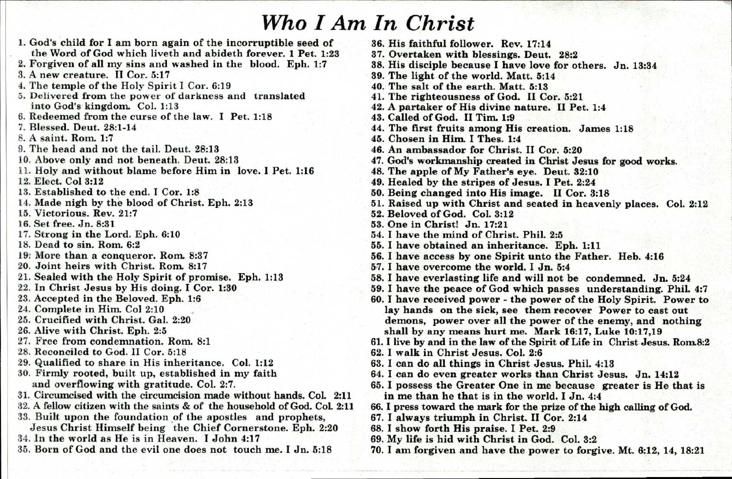## *Who I Am In Christ*

1. God's child for I am born again of the incorruptible seed of the Word of God which liveth and abideth forever. 1 Pet. 1:23 2. Forgiven of all my sins and washed in the blood. Eph. 1:7 3. A new creature. II Cor. 5:17 4. The temple of the Holy Spirit I Cor. 6:19 5. Delivered from the power of darkness and translated into God's kingdom. Col. 1:13 6. Redeemed from the curse of the law. I Pet. 1:18 7. Blessed. Deut. 28:1-14 8. A saint. Rom. 1:7 9. The head and not the tail. Deut. 28:13 10. Above only and not beneath. Dent. 28:13 11. Holy and without blame before Him in love. I Pet. 1:16 12. Elect. Col 3:12 13. Established to the end. I Cor. 1:8 14. Made nigh by the blood of Christ. Eph. 2:13 15. Victorious. Rev. 21:7 16. Set free. Jn. 8:31 17. Strong in the Lord. Eph. 6:10 18. Dead to sin. Rom. 6:2 19: More than a conqueror. Rom. 8:37 20. Joint heirs with Christ. Rom. 8:17 21. Sealed with the Holy Spirit of promise. Eph. 1:13 22. In Christ Jesus by His doing. I Cor. 1:30 23. Accepted in the Beloved. Eph. 1:6 24. Complete in Him. Col 2:10 25. Crucified with Christ. Gal. 2:20 26. Alive with Christ. Eph. 2:5 27. Free from condemnation. Rom. 8:1 28. Reconciled to God. II Cor. 5:18 29. Qualified to share in His inheritance. Col. 1:12 30. Firmly rooted, built up, established in my faith and overflowing with gratitude. Col. 2:7. 31. Circumcised with the circumcision made without hands. Col. 2:11 32. A fellow citizen with the saints & of the household of God. CoL 2:11 33. Built upon the foundation of the apostles and prophets, Jesus Christ Himself being the Chief Cornerstone. Eph. 2:20 34. In the world as He is in Heaven. I John 4:17 35. Born of God and the evil one does not touch me. I Jn. 5:18

36. His faithful follower. Rev. 17:14 37. Overtaken with blessings. Deut. 28:2 38. His disciple because I have love for others. Jn. 13:34 39. The light of the world. Matt. 5:14 40. The salt of the earth. Matt. 5:13 41. The righteousness of God. II Cor. 5:21 42. A partaker of His divine nature. II Pet. 1:4 43. Called of God. II Tim. 1:9 44. The first fruits among His creation. James 1:18 45. Chosen in Him. I Thes. 1:4 46. An ambassador for Christ. II Cor. 5:20 47. God's workmanship created in Christ Jesus for good works. 48. The apple of My Father's eye. Deut. 32:10 49. Healed by the stripes of Jesus. I Pet. 2:24 50. Being changed into His image. II Cor. 3:18 51. Raised up with Christ and seated in heavenly places. Col. 2:12 52. Beloved of God. Col. 3:12 53. One in Christ! Jn. 17:21 54. I have the mind of Christ. Phil. 2:5 55. I have obtained an inheritance. Eph. 1:11 56. I have access by one Spirit unto the Father. Heb. 4:16 57. I have overcome the world. I Jn. 5:4 58. I have everlasting life and will not be condemned. Jn. 5:24 59. I have the peace of God which passes understanding. Phil. 4:7 60. I have received power - the power of the Holy Spirit. Power to lay hands on the sick, see them recover Power to cast out demons, power over all the power of the enemy, and nothing shall by any means hurt me. Mark 16:17, Luke 10:17,19 61. I live by and in the law of the Spirit of Life in Christ Jesus. Rom.8:2 62. I walk in Christ Jesus. Col. 2:6 63. I can do all things in Christ Jesus. Phil. 4:13 64. I can do even greater works than Christ Jesus. Jn. 14:12 65. I possess the Greater One in me because greater is He that is in me than he that is in the world. I Jn. 4:4 66. I press toward the mark for the prize of the high calling of God. 67. I always triumph in Christ. II Cor. 2:14 68. I show forth His praise. I Pet. 2:9

- 69. My life is hid with Christ in God. Col. 3:2
- 70. I am forgiven and have the power to forgive. Mt. 6:12, 14, 18:21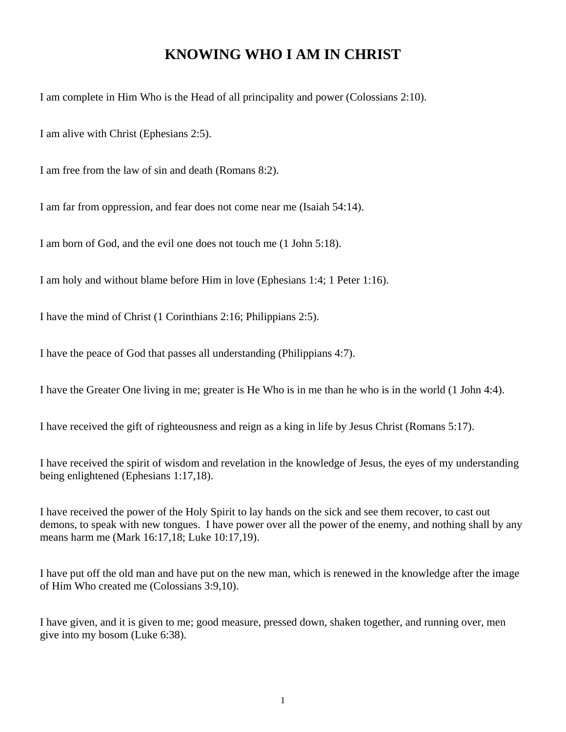### **KNOWING WHO I AM IN CHRIST**

I am complete in Him Who is the Head of all principality and power (Colossians 2:10).

I am alive with Christ (Ephesians 2:5).

I am free from the law of sin and death (Romans 8:2).

I am far from oppression, and fear does not come near me (Isaiah 54:14).

I am born of God, and the evil one does not touch me (1 John 5:18).

I am holy and without blame before Him in love (Ephesians 1:4; 1 Peter 1:16).

I have the mind of Christ (1 Corinthians 2:16; Philippians 2:5).

I have the peace of God that passes all understanding (Philippians 4:7).

I have the Greater One living in me; greater is He Who is in me than he who is in the world (1 John 4:4).

I have received the gift of righteousness and reign as a king in life by Jesus Christ (Romans 5:17).

I have received the spirit of wisdom and revelation in the knowledge of Jesus, the eyes of my understanding being enlightened (Ephesians 1:17,18).

I have received the power of the Holy Spirit to lay hands on the sick and see them recover, to cast out demons, to speak with new tongues. I have power over all the power of the enemy, and nothing shall by any means harm me (Mark 16:17,18; Luke 10:17,19).

I have put off the old man and have put on the new man, which is renewed in the knowledge after the image of Him Who created me (Colossians 3:9,10).

I have given, and it is given to me; good measure, pressed down, shaken together, and running over, men give into my bosom (Luke 6:38).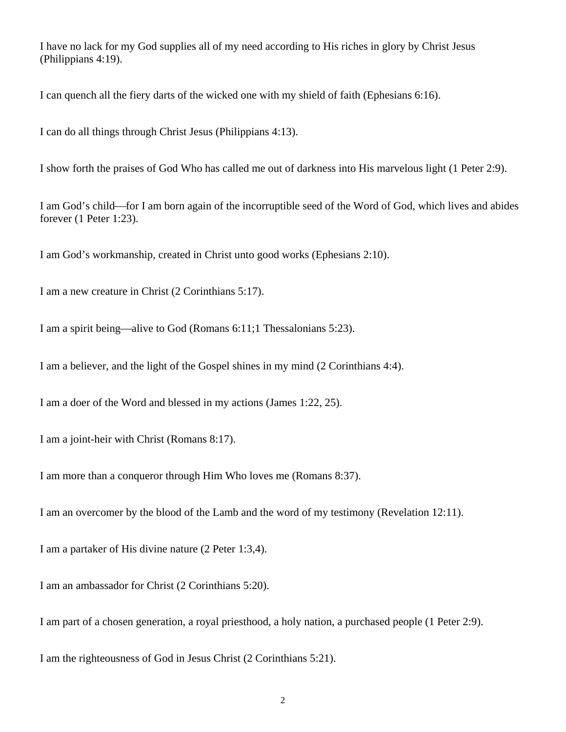I have no lack for my God supplies all of my need according to His riches in glory by Christ Jesus (Philippians 4:19).

I can quench all the fiery darts of the wicked one with my shield of faith (Ephesians 6:16).

I can do all things through Christ Jesus (Philippians 4:13).

I show forth the praises of God Who has called me out of darkness into His marvelous light (1 Peter 2:9).

I am God's child—for I am born again of the incorruptible seed of the Word of God, which lives and abides forever (1 Peter 1:23).

I am God's workmanship, created in Christ unto good works (Ephesians 2:10).

I am a new creature in Christ (2 Corinthians 5:17).

I am a spirit being—alive to God (Romans 6:11;1 Thessalonians 5:23).

I am a believer, and the light of the Gospel shines in my mind (2 Corinthians 4:4).

I am a doer of the Word and blessed in my actions (James 1:22, 25).

I am a joint-heir with Christ (Romans 8:17).

I am more than a conqueror through Him Who loves me (Romans 8:37).

I am an overcomer by the blood of the Lamb and the word of my testimony (Revelation 12:11).

I am a partaker of His divine nature (2 Peter 1:3,4).

I am an ambassador for Christ (2 Corinthians 5:20).

I am part of a chosen generation, a royal priesthood, a holy nation, a purchased people (1 Peter 2:9).

I am the righteousness of God in Jesus Christ (2 Corinthians 5:21).